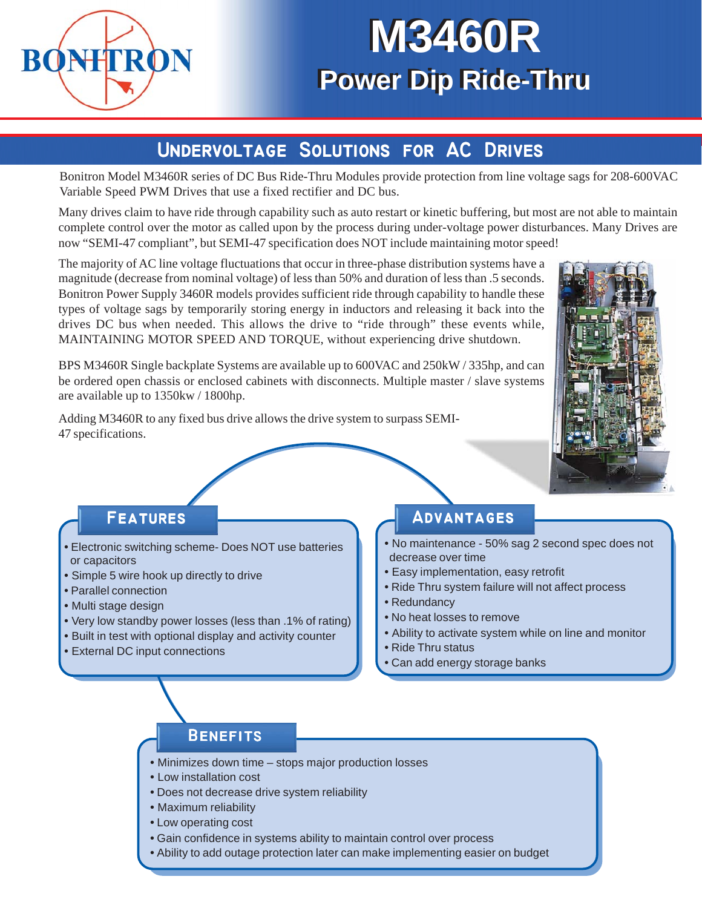

# **M3460R M3460R Power Dip Ride-Thru Power Dip Ride-Thru**

### **UNDERVOLTAGE SOLUTIONS FOR AC DRIVES**

Bonitron Model M3460R series of DC Bus Ride-Thru Modules provide protection from line voltage sags for 208-600VAC Variable Speed PWM Drives that use a fixed rectifier and DC bus.

Many drives claim to have ride through capability such as auto restart or kinetic buffering, but most are not able to maintain complete control over the motor as called upon by the process during under-voltage power disturbances. Many Drives are now "SEMI-47 compliant", but SEMI-47 specification does NOT include maintaining motor speed!

The majority of AC line voltage fluctuations that occur in three-phase distribution systems have a magnitude (decrease from nominal voltage) of less than 50% and duration of less than .5 seconds. Bonitron Power Supply 3460R models provides sufficient ride through capability to handle these types of voltage sags by temporarily storing energy in inductors and releasing it back into the drives DC bus when needed. This allows the drive to "ride through" these events while, MAINTAINING MOTOR SPEED AND TORQUE, without experiencing drive shutdown.

BPS M3460R Single backplate Systems are available up to 600VAC and 250kW / 335hp, and can be ordered open chassis or enclosed cabinets with disconnects. Multiple master / slave systems are available up to 1350kw / 1800hp.

Adding M3460R to any fixed bus drive allows the drive system to surpass SEMI-47 specifications.



#### **Features Features**

- Electronic switching scheme- Does NOT use batteries or capacitors
- Simple 5 wire hook up directly to drive
- Parallel connection
- Multi stage design
- Very low standby power losses (less than .1% of rating)
- Built in test with optional display and activity counter
- External DC input connections

#### **Advantages Advantages**

- No maintenance 50% sag 2 second spec does not decrease over time
- Easy implementation, easy retrofit
- Ride Thru system failure will not affect process
- Redundancy
- No heat losses to remove
- Ability to activate system while on line and monitor
- Ride Thru status
- Can add energy storage banks

#### **Benefits Benefits**

- Minimizes down time stops major production losses
- Low installation cost
- Does not decrease drive system reliability
- Maximum reliability
- Low operating cost
- Gain confidence in systems ability to maintain control over process
- Ability to add outage protection later can make implementing easier on budget